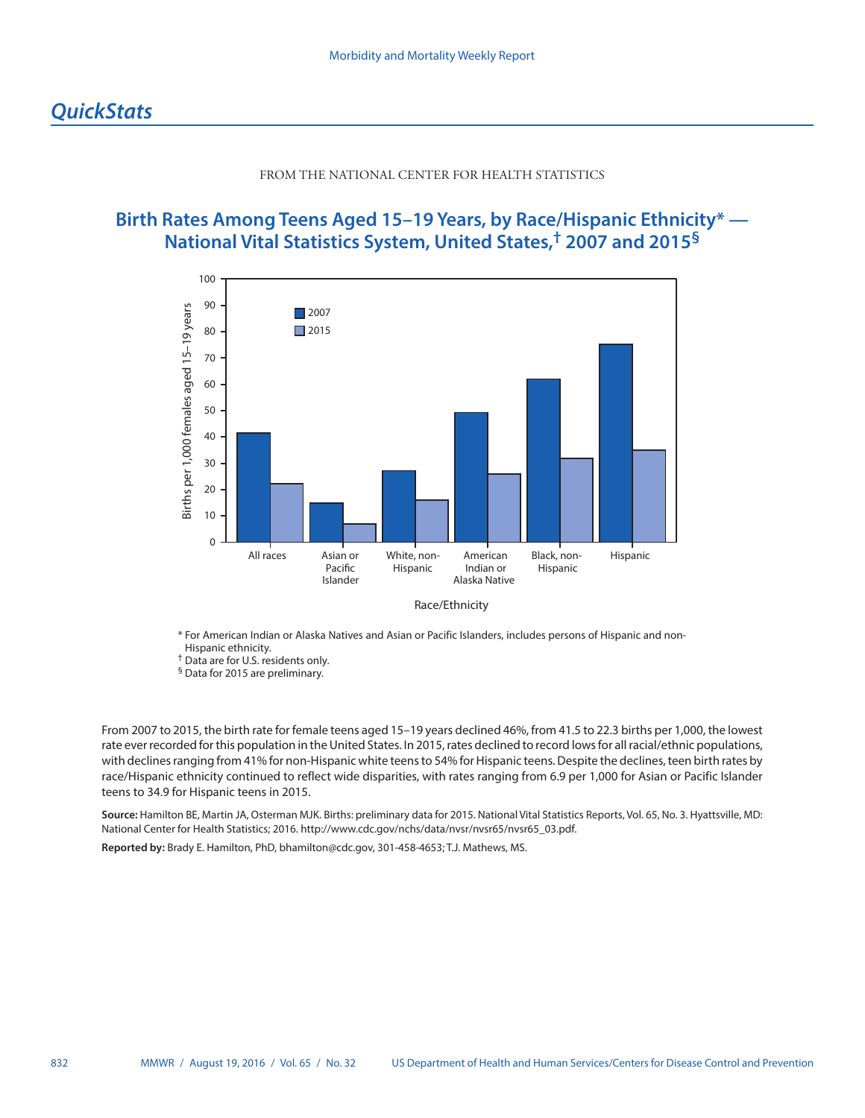## FROM THE NATIONAL CENTER FOR HEALTH STATISTICS

## **Birth Rates Among Teens Aged 15–19 Years, by Race/Hispanic Ethnicity\* — National Vital Statistics System, United States,† 2007 and 2015§**



Race/Ethnicity

\* For American Indian or Alaska Natives and Asian or Pacific Islanders, includes persons of Hispanic and non-Hispanic ethnicity.

† Data are for U.S. residents only.

§ Data for 2015 are preliminary.

From 2007 to 2015, the birth rate for female teens aged 15–19 years declined 46%, from 41.5 to 22.3 births per 1,000, the lowest rate ever recorded for this population in the United States. In 2015, rates declined to record lows for all racial/ethnic populations, with declines ranging from 41% for non-Hispanic white teens to 54% for Hispanic teens. Despite the declines, teen birth rates by race/Hispanic ethnicity continued to reflect wide disparities, with rates ranging from 6.9 per 1,000 for Asian or Pacific Islander teens to 34.9 for Hispanic teens in 2015.

**Source:** Hamilton BE, Martin JA, Osterman MJK. Births: preliminary data for 2015. National Vital Statistics Reports, Vol. 65, No. 3. Hyattsville, MD: National Center for Health Statistics; 2016. [http://www.cdc.gov/nchs/data/nvsr/nvsr65/nvsr65\\_03.pdf.](http://www.cdc.gov/nchs/data/nvsr/nvsr65/nvsr65_03.pdf)

**Reported by:** Brady E. Hamilton, PhD, [bhamilton@cdc.gov,](mailto:bhamilton@cdc.gov) 301-458-4653; T.J. Mathews, MS.